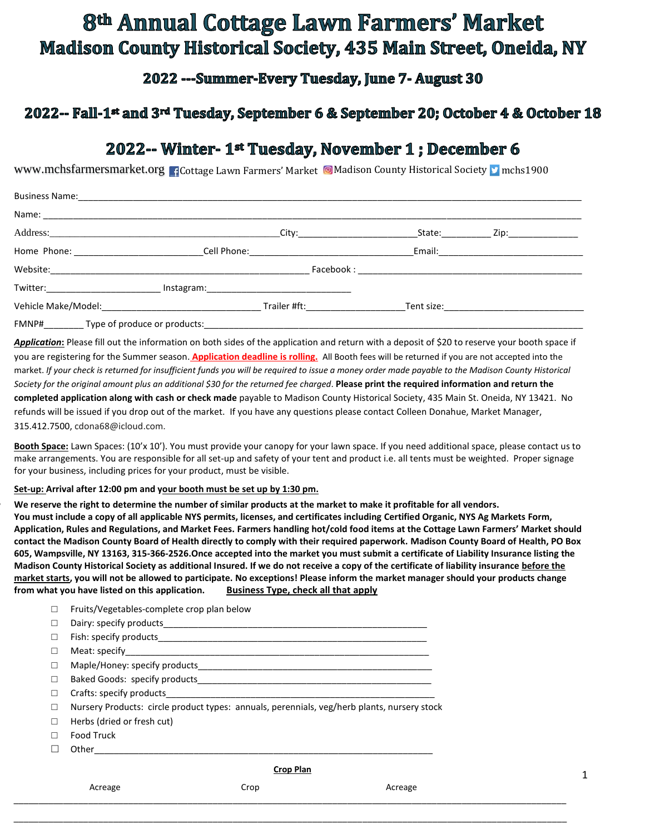# 8th Annual Cottage Lawn Farmers' Market **Madison County Historical Society, 435 Main Street, Oneida, NY**

2022 --- Summer-Every Tuesday, June 7- August 30

### 2022-- Fall-1<sup>st</sup> and 3<sup>rd</sup> Tuesday, September 6 & September 20; October 4 & October 18

## 2022-- Winter- 1st Tuesday, November 1; December 6

www.mchsfarmersmarket.org **Ficottage Lawn Farmers' Market © Madison County Historical Society Munchs1900** 

| <b>Business Name:</b>                                                                                                                                                                                                                                                                                             |                                |                           |                  |                                                                                                                |  |
|-------------------------------------------------------------------------------------------------------------------------------------------------------------------------------------------------------------------------------------------------------------------------------------------------------------------|--------------------------------|---------------------------|------------------|----------------------------------------------------------------------------------------------------------------|--|
|                                                                                                                                                                                                                                                                                                                   |                                |                           |                  |                                                                                                                |  |
|                                                                                                                                                                                                                                                                                                                   | _City:________________________ |                           | State:__________ | _ Zip:_________________                                                                                        |  |
|                                                                                                                                                                                                                                                                                                                   |                                |                           |                  |                                                                                                                |  |
|                                                                                                                                                                                                                                                                                                                   |                                |                           |                  |                                                                                                                |  |
|                                                                                                                                                                                                                                                                                                                   |                                |                           |                  |                                                                                                                |  |
| Vehicle Make/Model: Vehicle Make/Model:                                                                                                                                                                                                                                                                           |                                | Trailer #ft: Trailer #ft: |                  | Tent size: The contract of the contract of the contract of the contract of the contract of the contract of the |  |
| $\mathcal{L}$ and $\mathcal{L}$ and $\mathcal{L}$ and $\mathcal{L}$ and $\mathcal{L}$ and $\mathcal{L}$ and $\mathcal{L}$ and $\mathcal{L}$ and $\mathcal{L}$ and $\mathcal{L}$ and $\mathcal{L}$ and $\mathcal{L}$ and $\mathcal{L}$ and $\mathcal{L}$ and $\mathcal{L}$ and $\mathcal{L}$ and $\mathcal{L}$ and |                                |                           |                  |                                                                                                                |  |

FMNP#\_\_\_\_\_\_\_\_\_\_\_\_Type of produce or products:

*Application***:** Please fill out the information on both sides of the application and return with a deposit of \$20 to reserve your booth space if you are registering for the Summer season. **Application deadline is rolling.** All Booth fees will be returned if you are not accepted into the market. *If your check is returned for insufficient funds you will be required to issue a money order made payable to the Madison County Historical Society for the original amount plus an additional \$30 for the returned fee charged*. **Please print the required information and return the completed application along with cash or check made** payable to Madison County Historical Society, 435 Main St. Oneida, NY 13421. No refunds will be issued if you drop out of the market. If you have any questions please contact Colleen Donahue, Market Manager, 315.412.7500, cdona68@icloud.com.

**Booth Space:** Lawn Spaces: (10'x 10'). You must provide your canopy for your lawn space. If you need additional space, please contact us to make arrangements. You are responsible for all set-up and safety of your tent and product i.e. all tents must be weighted. Proper signage for your business, including prices for your product, must be visible.

**Set-up: Arrival after 12:00 pm and your booth must be set up by 1:30 pm.** 

• **We reserve the right to determine the number of similar products at the market to make it profitable for all vendors. You must include a copy of all applicable NYS permits, licenses, and certificates including Certified Organic, NYS Ag Markets Form, Application, Rules and Regulations, and Market Fees. Farmers handling hot/cold food items at the Cottage Lawn Farmers' Market should contact the Madison County Board of Health directly to comply with their required paperwork. Madison County Board of Health, PO Box 605, Wampsville, NY 13163, 315-366-2526.Once accepted into the market you must submit a certificate of Liability Insurance listing the Madison County Historical Society as additional Insured. If we do not receive a copy of the certificate of liability insurance before the market starts, you will not be allowed to participate. No exceptions! Please inform the market manager should your products change from what you have listed on this application. Business Type, check all that apply**

\_\_\_\_\_\_\_\_\_\_\_\_\_\_\_\_\_\_\_\_\_\_\_\_\_\_\_\_\_\_\_\_\_\_\_\_\_\_\_\_\_\_\_\_\_\_\_\_\_\_\_\_\_\_\_\_\_\_\_\_\_\_\_\_\_\_\_\_\_\_\_\_\_\_\_\_\_\_\_\_\_\_\_\_\_\_\_\_\_\_\_\_\_\_\_\_\_\_\_\_\_\_\_\_\_\_\_\_\_\_\_

| □      | Fruits/Vegetables-complete crop plan below                                                  |                  |         |  |  |
|--------|---------------------------------------------------------------------------------------------|------------------|---------|--|--|
| □      |                                                                                             |                  |         |  |  |
| □      |                                                                                             |                  |         |  |  |
| □      |                                                                                             |                  |         |  |  |
| $\Box$ |                                                                                             |                  |         |  |  |
| $\Box$ |                                                                                             |                  |         |  |  |
| □      | Crafts: specify products                                                                    |                  |         |  |  |
| □      | Nursery Products: circle product types: annuals, perennials, veg/herb plants, nursery stock |                  |         |  |  |
| □      | Herbs (dried or fresh cut)                                                                  |                  |         |  |  |
| П      | Food Truck                                                                                  |                  |         |  |  |
| □      | Other                                                                                       |                  |         |  |  |
|        |                                                                                             | <b>Crop Plan</b> |         |  |  |
|        | Acreage                                                                                     | Crop             | Acreage |  |  |

1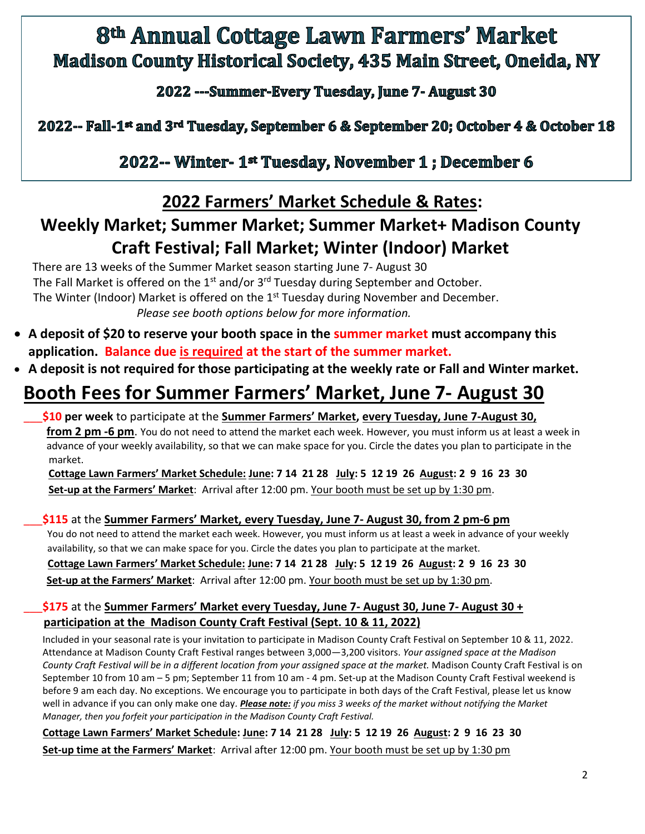# 8th Annual Cottage Lawn Farmers' Market **Madison County Historical Society, 435 Main Street, Oneida, NY**

2022 --- Summer-Every Tuesday, June 7- August 30

## 2022-- Fall-1<sup>st</sup> and 3<sup>rd</sup> Tuesday, September 6 & September 20; October 4 & October 18

2022-- Winter- 1<sup>st</sup> Tuesday, November 1; December 6

## **2022 Farmers' Market Schedule & Rates:**

# **Weekly Market; Summer Market; Summer Market+ Madison County Craft Festival; Fall Market; Winter (Indoor) Market**

There are 13 weeks of the Summer Market season starting June 7- August 30 The Fall Market is offered on the  $1<sup>st</sup>$  and/or  $3<sup>rd</sup>$  Tuesday during September and October. The Winter (Indoor) Market is offered on the 1<sup>st</sup> Tuesday during November and December. *Please see booth options below for more information.*

- **A deposit of \$20 to reserve your booth space in the summer market must accompany this application. Balance due is required at the start of the summer market.**
- **A deposit is not required for those participating at the weekly rate or Fall and Winter market.**

# **Booth Fees for Summer Farmers' Market, June 7- August 30**

#### \_\_\_**\$10 per week** to participate at the **Summer Farmers' Market, every Tuesday, June 7-August 30, from 2 pm -6 pm**. You do not need to attend the market each week. However, you must inform us at least a week in

advance of your weekly availability, so that we can make space for you. Circle the dates you plan to participate in the market.

 **Cottage Lawn Farmers' Market Schedule: June: 7 14 21 28 July: 5 12 19 26 August: 2 9 16 23 30 Set-up at the Farmers' Market**: Arrival after 12:00 pm. Your booth must be set up by 1:30 pm.

### \_\_\_**\$115** at the **Summer Farmers' Market, every Tuesday, June 7- August 30, from 2 pm-6 pm**

You do not need to attend the market each week. However, you must inform us at least a week in advance of your weekly availability, so that we can make space for you. Circle the dates you plan to participate at the market.

 **Cottage Lawn Farmers' Market Schedule: June: 7 14 21 28 July: 5 12 19 26 August: 2 9 16 23 30 Set-up at the Farmers' Market**: Arrival after 12:00 pm. Your booth must be set up by 1:30 pm.

### \_\_\_**\$175** at the **Summer Farmers' Market every Tuesday, June 7- August 30, June 7- August 30 + participation at the Madison County Craft Festival (Sept. 10 & 11, 2022)**

Included in your seasonal rate is your invitation to participate in Madison County Craft Festival on September 10 & 11, 2022. Attendance at Madison County Craft Festival ranges between 3,000—3,200 visitors. *Your assigned space at the Madison County Craft Festival will be in a different location from your assigned space at the market.* Madison County Craft Festival is on September 10 from 10 am – 5 pm; September 11 from 10 am - 4 pm. Set-up at the Madison County Craft Festival weekend is before 9 am each day. No exceptions. We encourage you to participate in both days of the Craft Festival, please let us know well in advance if you can only make one day*. Please note: if you miss 3 weeks of the market without notifying the Market Manager, then you forfeit your participation in the Madison County Craft Festival.*

**Cottage Lawn Farmers' Market Schedule: June: 7 14 21 28 July: 5 12 19 26 August: 2 9 16 23 30 Set-up time at the Farmers' Market**: Arrival after 12:00 pm. Your booth must be set up by 1:30 pm